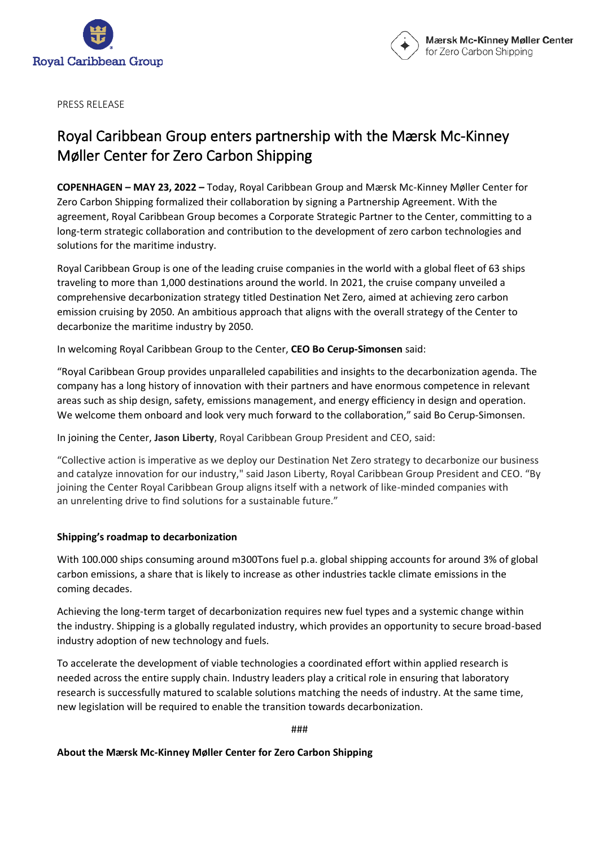



PRESS RELEASE

## Royal Caribbean Group enters partnership with the Mærsk Mc-Kinney Møller Center for Zero Carbon Shipping

**COPENHAGEN – MAY 23, 2022 –** Today, Royal Caribbean Group and Mærsk Mc-Kinney Møller Center for Zero Carbon Shipping formalized their collaboration by signing a Partnership Agreement. With the agreement, Royal Caribbean Group becomes a Corporate Strategic Partner to the Center, committing to a long-term strategic collaboration and contribution to the development of zero carbon technologies and solutions for the maritime industry.

Royal Caribbean Group is one of the leading cruise companies in the world with a global fleet of 63 ships traveling to more than 1,000 destinations around the world. In 2021, the cruise company unveiled a comprehensive decarbonization strategy titled Destination Net Zero, aimed at achieving zero carbon emission cruising by 2050. An ambitious approach that aligns with the overall strategy of the Center to decarbonize the maritime industry by 2050.

In welcoming Royal Caribbean Group to the Center, **CEO Bo Cerup-Simonsen** said:

"Royal Caribbean Group provides unparalleled capabilities and insights to the decarbonization agenda. The company has a long history of innovation with their partners and have enormous competence in relevant areas such as ship design, safety, emissions management, and energy efficiency in design and operation. We welcome them onboard and look very much forward to the collaboration," said Bo Cerup-Simonsen.

In joining the Center, **Jason Liberty**, Royal Caribbean Group President and CEO, said:

"Collective action is imperative as we deploy our Destination Net Zero strategy to decarbonize our business and catalyze innovation for our industry," said Jason Liberty, Royal Caribbean Group President and CEO. "By joining the Center Royal Caribbean Group aligns itself with a network of like-minded companies with an unrelenting drive to find solutions for a sustainable future."

## **Shipping's roadmap to decarbonization**

With 100.000 ships consuming around m300Tons fuel p.a. global shipping accounts for around 3% of global carbon emissions, a share that is likely to increase as other industries tackle climate emissions in the coming decades.

Achieving the long-term target of decarbonization requires new fuel types and a systemic change within the industry. Shipping is a globally regulated industry, which provides an opportunity to secure broad-based industry adoption of new technology and fuels.

To accelerate the development of viable technologies a coordinated effort within applied research is needed across the entire supply chain. Industry leaders play a critical role in ensuring that laboratory research is successfully matured to scalable solutions matching the needs of industry. At the same time, new legislation will be required to enable the transition towards decarbonization.

###

## **About the Mærsk Mc-Kinney Møller Center for Zero Carbon Shipping**